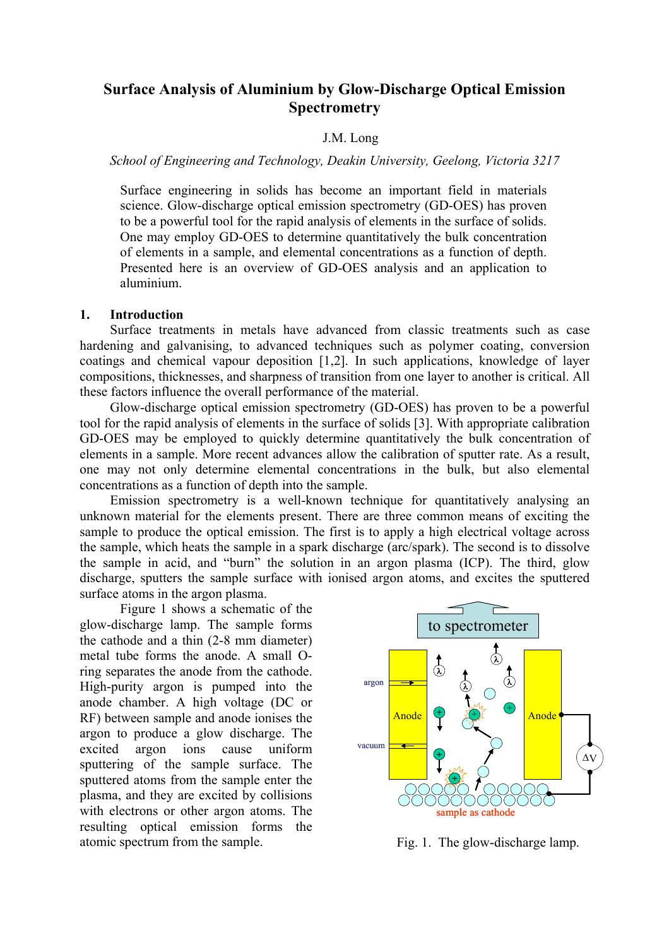# **Surface Analysis of Aluminium by Glow-Discharge Optical Emission Spectrometry**

### J.M. Long

*School of Engineering and Technology, Deakin University, Geelong, Victoria 3217* 

Surface engineering in solids has become an important field in materials science. Glow-discharge optical emission spectrometry (GD-OES) has proven to be a powerful tool for the rapid analysis of elements in the surface of solids. One may employ GD-OES to determine quantitatively the bulk concentration of elements in a sample, and elemental concentrations as a function of depth. Presented here is an overview of GD-OES analysis and an application to aluminium.

### **1. Introduction**

Surface treatments in metals have advanced from classic treatments such as case hardening and galvanising, to advanced techniques such as polymer coating, conversion coatings and chemical vapour deposition [1,2]. In such applications, knowledge of layer compositions, thicknesses, and sharpness of transition from one layer to another is critical. All these factors influence the overall performance of the material.

Glow-discharge optical emission spectrometry (GD-OES) has proven to be a powerful tool for the rapid analysis of elements in the surface of solids [3]. With appropriate calibration GD-OES may be employed to quickly determine quantitatively the bulk concentration of elements in a sample. More recent advances allow the calibration of sputter rate. As a result, one may not only determine elemental concentrations in the bulk, but also elemental concentrations as a function of depth into the sample.

Emission spectrometry is a well-known technique for quantitatively analysing an unknown material for the elements present. There are three common means of exciting the sample to produce the optical emission. The first is to apply a high electrical voltage across the sample, which heats the sample in a spark discharge (arc/spark). The second is to dissolve the sample in acid, and "burn" the solution in an argon plasma (ICP). The third, glow discharge, sputters the sample surface with ionised argon atoms, and excites the sputtered surface atoms in the argon plasma.

Figure 1 shows a schematic of the glow-discharge lamp. The sample forms the cathode and a thin (2-8 mm diameter) metal tube forms the anode. A small Oring separates the anode from the cathode. High-purity argon is pumped into the anode chamber. A high voltage (DC or RF) between sample and anode ionises the argon to produce a glow discharge. The excited argon ions cause uniform sputtering of the sample surface. The sputtered atoms from the sample enter the plasma, and they are excited by collisions with electrons or other argon atoms. The resulting optical emission forms the atomic spectrum from the sample.



Fig. 1. The glow-discharge lamp.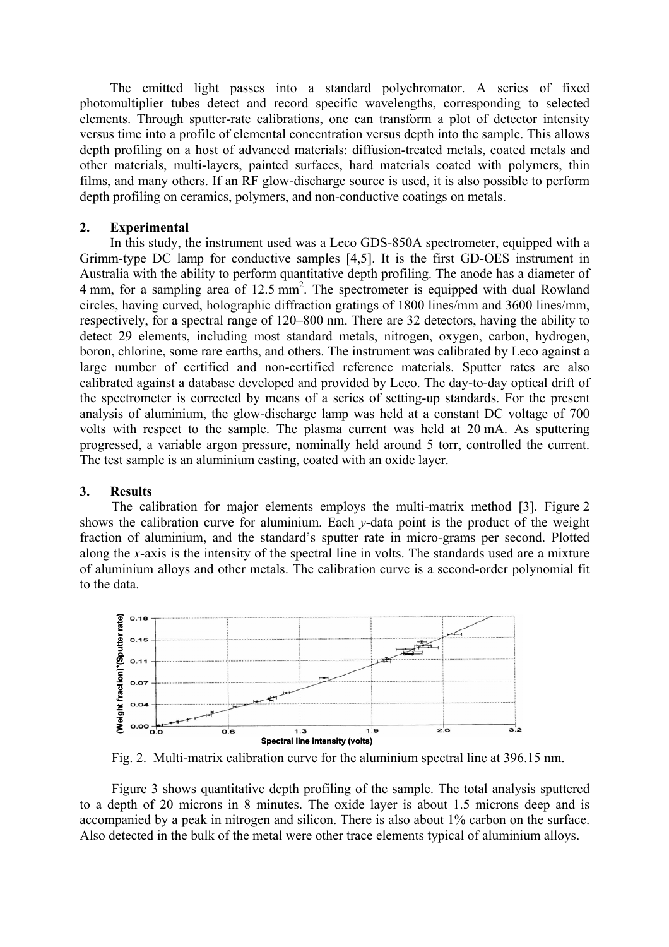The emitted light passes into a standard polychromator. A series of fixed photomultiplier tubes detect and record specific wavelengths, corresponding to selected elements. Through sputter-rate calibrations, one can transform a plot of detector intensity versus time into a profile of elemental concentration versus depth into the sample. This allows depth profiling on a host of advanced materials: diffusion-treated metals, coated metals and other materials, multi-layers, painted surfaces, hard materials coated with polymers, thin films, and many others. If an RF glow-discharge source is used, it is also possible to perform depth profiling on ceramics, polymers, and non-conductive coatings on metals.

## **2. Experimental**

In this study, the instrument used was a Leco GDS-850A spectrometer, equipped with a Grimm-type DC lamp for conductive samples [4,5]. It is the first GD-OES instrument in Australia with the ability to perform quantitative depth profiling. The anode has a diameter of  $4 \text{ mm}$ , for a sampling area of  $12.5 \text{ mm}^2$ . The spectrometer is equipped with dual Rowland circles, having curved, holographic diffraction gratings of 1800 lines/mm and 3600 lines/mm, respectively, for a spectral range of 120–800 nm. There are 32 detectors, having the ability to detect 29 elements, including most standard metals, nitrogen, oxygen, carbon, hydrogen, boron, chlorine, some rare earths, and others. The instrument was calibrated by Leco against a large number of certified and non-certified reference materials. Sputter rates are also calibrated against a database developed and provided by Leco. The day-to-day optical drift of the spectrometer is corrected by means of a series of setting-up standards. For the present analysis of aluminium, the glow-discharge lamp was held at a constant DC voltage of 700 volts with respect to the sample. The plasma current was held at 20 mA. As sputtering progressed, a variable argon pressure, nominally held around 5 torr, controlled the current. The test sample is an aluminium casting, coated with an oxide layer.

# **3. Results**

The calibration for major elements employs the multi-matrix method [3]. Figure 2 shows the calibration curve for aluminium. Each *y*-data point is the product of the weight fraction of aluminium, and the standard's sputter rate in micro-grams per second. Plotted along the *x*-axis is the intensity of the spectral line in volts. The standards used are a mixture of aluminium alloys and other metals. The calibration curve is a second-order polynomial fit to the data.



Fig. 2. Multi-matrix calibration curve for the aluminium spectral line at 396.15 nm.

Figure 3 shows quantitative depth profiling of the sample. The total analysis sputtered to a depth of 20 microns in 8 minutes. The oxide layer is about 1.5 microns deep and is accompanied by a peak in nitrogen and silicon. There is also about 1% carbon on the surface. Also detected in the bulk of the metal were other trace elements typical of aluminium alloys.